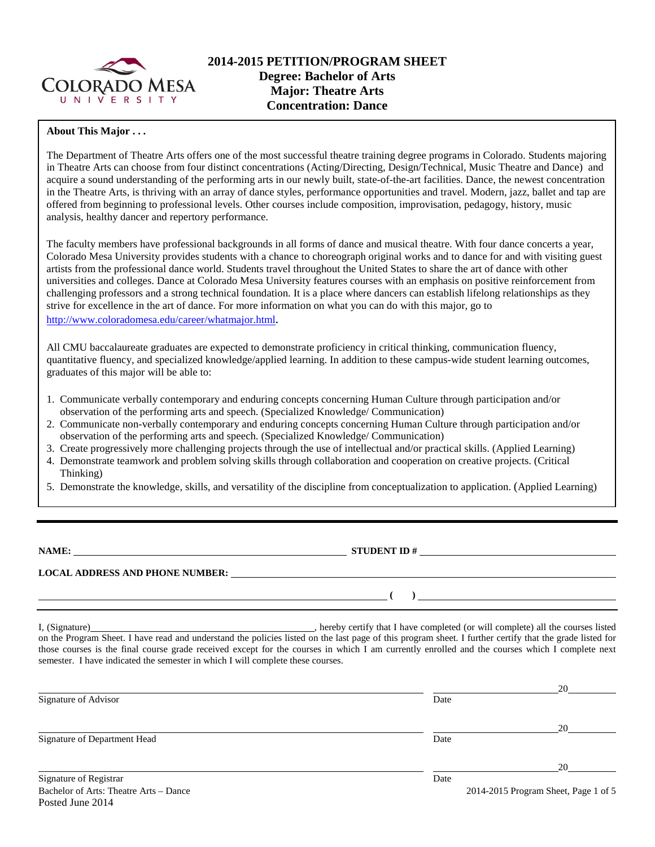

# **2014-2015 PETITION/PROGRAM SHEET Degree: Bachelor of Arts Major: Theatre Arts Concentration: Dance**

## **About This Major . . .**

The Department of Theatre Arts offers one of the most successful theatre training degree programs in Colorado. Students majoring in Theatre Arts can choose from four distinct concentrations (Acting/Directing, Design/Technical, Music Theatre and Dance) and acquire a sound understanding of the performing arts in our newly built, state-of-the-art facilities. Dance, the newest concentration in the Theatre Arts, is thriving with an array of dance styles, performance opportunities and travel. Modern, jazz, ballet and tap are offered from beginning to professional levels. Other courses include composition, improvisation, pedagogy, history, music analysis, healthy dancer and repertory performance.

The faculty members have professional backgrounds in all forms of dance and musical theatre. With four dance concerts a year, Colorado Mesa University provides students with a chance to choreograph original works and to dance for and with visiting guest artists from the professional dance world. Students travel throughout the United States to share the art of dance with other universities and colleges. Dance at Colorado Mesa University features courses with an emphasis on positive reinforcement from challenging professors and a strong technical foundation. It is a place where dancers can establish lifelong relationships as they strive for excellence in the art of dance. For more information on what you can do with this major, go to

[http://www.coloradomesa.edu/career/whatmajor.html.](http://www.coloradomesa.edu/career/whatmajor.html)

All CMU baccalaureate graduates are expected to demonstrate proficiency in critical thinking, communication fluency, quantitative fluency, and specialized knowledge/applied learning. In addition to these campus-wide student learning outcomes, graduates of this major will be able to:

- 1. Communicate verbally contemporary and enduring concepts concerning Human Culture through participation and/or observation of the performing arts and speech. (Specialized Knowledge/ Communication)
- 2. Communicate non-verbally contemporary and enduring concepts concerning Human Culture through participation and/or observation of the performing arts and speech. (Specialized Knowledge/ Communication)
- 3. Create progressively more challenging projects through the use of intellectual and/or practical skills. (Applied Learning)
- 4. Demonstrate teamwork and problem solving skills through collaboration and cooperation on creative projects. (Critical Thinking)
- 5. Demonstrate the knowledge, skills, and versatility of the discipline from conceptualization to application. (Applied Learning)

**NAMES IN STUDENT ID #** 

 $($   $)$   $)$ 

**LOCAL ADDRESS AND PHONE NUMBER:**

I, (Signature) **Source 2020** (Signature) **, hereby certify that I have completed** (or will complete) all the courses listed on the Program Sheet. I have read and understand the policies listed on the last page of this program sheet. I further certify that the grade listed for those courses is the final course grade received except for the courses in which I am currently enrolled and the courses which I complete next semester. I have indicated the semester in which I will complete these courses.

|                                                            |      | 20                                   |
|------------------------------------------------------------|------|--------------------------------------|
| Signature of Advisor                                       | Date |                                      |
|                                                            |      | 20                                   |
| Signature of Department Head                               | Date |                                      |
|                                                            |      | 20                                   |
| Signature of Registrar                                     | Date |                                      |
| Bachelor of Arts: Theatre Arts - Dance<br>Posted June 2014 |      | 2014-2015 Program Sheet, Page 1 of 5 |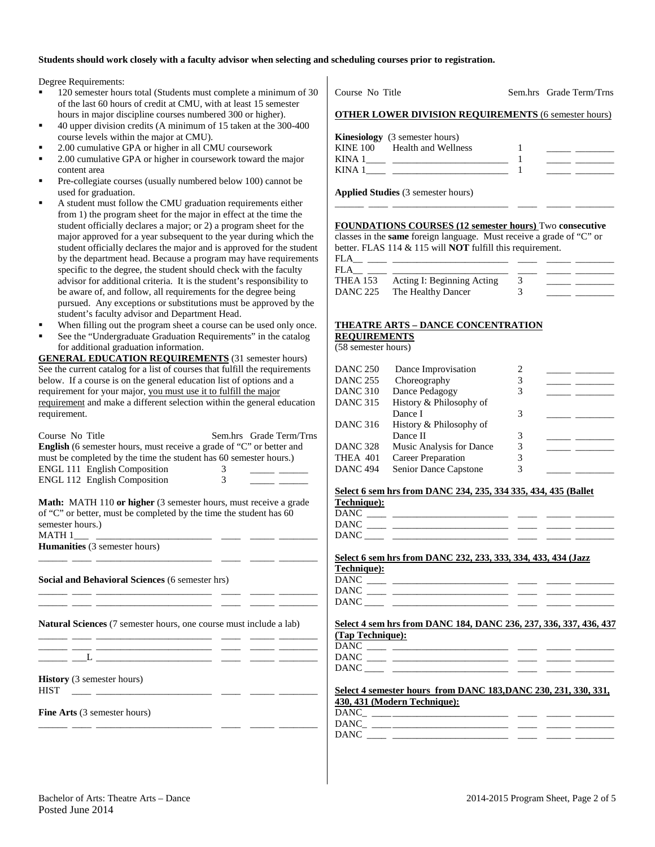## **Students should work closely with a faculty advisor when selecting and scheduling courses prior to registration.**

Degree Requirements:

- 120 semester hours total (Students must complete a minimum of 30 of the last 60 hours of credit at CMU, with at least 15 semester hours in major discipline courses numbered 300 or higher).
- 40 upper division credits (A minimum of 15 taken at the 300-400 course levels within the major at CMU).
- 2.00 cumulative GPA or higher in all CMU coursework
- 2.00 cumulative GPA or higher in coursework toward the major content area
- Pre-collegiate courses (usually numbered below 100) cannot be used for graduation.
- A student must follow the CMU graduation requirements either from 1) the program sheet for the major in effect at the time the student officially declares a major; or 2) a program sheet for the major approved for a year subsequent to the year during which the student officially declares the major and is approved for the student by the department head. Because a program may have requirements specific to the degree, the student should check with the faculty advisor for additional criteria. It is the student's responsibility to be aware of, and follow, all requirements for the degree being pursued. Any exceptions or substitutions must be approved by the student's faculty advisor and Department Head.
- When filling out the program sheet a course can be used only once.
- See the "Undergraduate Graduation Requirements" in the catalog for additional graduation information.

**GENERAL EDUCATION REQUIREMENTS** (31 semester hours) See the current catalog for a list of courses that fulfill the requirements below. If a course is on the general education list of options and a requirement for your major, you must use it to fulfill the major requirement and make a different selection within the general education requirement.

| Course No Title                                                             | Sem.hrs Grade Term/Trns |
|-----------------------------------------------------------------------------|-------------------------|
| <b>English</b> (6 semester hours, must receive a grade of "C" or better and |                         |
| must be completed by the time the student has 60 semester hours.)           |                         |
| <b>ENGL 111 English Composition</b>                                         |                         |
| <b>ENGL 112 English Composition</b>                                         |                         |
|                                                                             |                         |
| <b>Math:</b> MATH 110 or higher (3 semester hours, must receive a grade     |                         |
| of " $C$ " or better, must be completed by the time the student has 60      |                         |

of "C" or better, must be completed by the time the student has 60 semester hours.) MATH 1\_\_\_ \_\_\_\_\_\_\_\_\_\_\_\_\_\_\_\_\_\_\_\_\_\_\_\_ \_\_\_\_ \_\_\_\_\_ \_\_\_\_\_\_\_\_

\_\_\_\_\_\_ \_\_\_\_ \_\_\_\_\_\_\_\_\_\_\_\_\_\_\_\_\_\_\_\_\_\_\_\_ \_\_\_\_ \_\_\_\_\_ \_\_\_\_\_\_\_\_

\_\_\_\_\_\_ \_\_\_\_ \_\_\_\_\_\_\_\_\_\_\_\_\_\_\_\_\_\_\_\_\_\_\_\_ \_\_\_\_ \_\_\_\_\_ \_\_\_\_\_\_\_\_ \_\_\_\_\_\_ \_\_\_\_ \_\_\_\_\_\_\_\_\_\_\_\_\_\_\_\_\_\_\_\_\_\_\_\_ \_\_\_\_ \_\_\_\_\_ \_\_\_\_\_\_\_\_

\_\_\_\_\_\_ \_\_\_\_ \_\_\_\_\_\_\_\_\_\_\_\_\_\_\_\_\_\_\_\_\_\_\_\_ \_\_\_\_ \_\_\_\_\_ \_\_\_\_\_\_\_\_

**Humanities** (3 semester hours)

**Social and Behavioral Sciences** (6 semester hrs)

**Natural Sciences** (7 semester hours, one course must include a lab) \_\_\_\_\_\_ \_\_\_\_ \_\_\_\_\_\_\_\_\_\_\_\_\_\_\_\_\_\_\_\_\_\_\_\_ \_\_\_\_ \_\_\_\_\_ \_\_\_\_\_\_\_\_

\_\_\_\_\_\_ \_\_\_\_ \_\_\_\_\_\_\_\_\_\_\_\_\_\_\_\_\_\_\_\_\_\_\_\_ \_\_\_\_ \_\_\_\_\_ \_\_\_\_\_\_\_\_  $\frac{1}{\sqrt{2}}$   $\frac{1}{\sqrt{2}}$ 

**History** (3 semester hours)

HIST \_\_\_\_ \_\_\_\_\_\_\_\_\_\_\_\_\_\_\_\_\_\_\_\_\_\_\_\_ \_\_\_\_ \_\_\_\_\_ \_\_\_\_\_\_\_\_

**Fine Arts** (3 semester hours)

| Course No Title                    | Sem.hrs Grade Term/Trns |  |  |
|------------------------------------|-------------------------|--|--|
| OBURD I OUED DURCLOU DROUDELING // |                         |  |  |

## **OTHER LOWER DIVISION REQUIREMENTS** (6 semester hours)

|        | <b>Kinesiology</b> (3 semester hours) |  |  |
|--------|---------------------------------------|--|--|
|        | KINE 100 Health and Wellness          |  |  |
| KINA 1 |                                       |  |  |
| KINA 1 |                                       |  |  |

**Applied Studies** (3 semester hours)

## **FOUNDATIONS COURSES (12 semester hours)** Two **consecutive**

\_\_\_\_\_\_ \_\_\_\_ \_\_\_\_\_\_\_\_\_\_\_\_\_\_\_\_\_\_\_\_\_\_\_\_ \_\_\_\_ \_\_\_\_\_ \_\_\_\_\_\_\_\_

classes in the **same** foreign language. Must receive a grade of "C" or better. FLAS 114 & 115 will **NOT** fulfill this requirement.

| FLA |                                     |  |  |
|-----|-------------------------------------|--|--|
| FLA |                                     |  |  |
|     | THEA 153 Acting I: Beginning Acting |  |  |
|     | DANC 225 The Healthy Dancer         |  |  |

## **THEATRE ARTS – DANCE CONCENTRATION REQUIREMENTS**

(58 semester hours)

| DANC 250        | Dance Improvisation       | 2 |  |
|-----------------|---------------------------|---|--|
| DANC 255        | Choreography              | 3 |  |
| DANC 310        | Dance Pedagogy            | 3 |  |
| <b>DANC 315</b> | History & Philosophy of   |   |  |
|                 | Dance I                   | 3 |  |
| DANC 316        | History & Philosophy of   |   |  |
|                 | Dance II                  | 3 |  |
| DANC 328        | Music Analysis for Dance  | 3 |  |
| THEA 401        | <b>Career Preparation</b> | 3 |  |
| DANC 494        | Senior Dance Capstone     | 3 |  |
|                 |                           |   |  |

## **Select 6 sem hrs from DANC 234, 235, 334 335, 434, 435 (Ballet**

**Technique):**

| DANC |  |  |
|------|--|--|
| DANC |  |  |
| DANC |  |  |

## **Select 6 sem hrs from DANC 232, 233, 333, 334, 433, 434 (Jazz**

**Technique):**

| <b>DANC</b> |  |  |  |
|-------------|--|--|--|
| <b>DANC</b> |  |  |  |
| <b>DANC</b> |  |  |  |

### **Select 4 sem hrs from DANC 184, DANC 236, 237, 336, 337, 436, 437 (Tap Technique):**

|      | . |  |  |
|------|---|--|--|
| DANC |   |  |  |
| DANC |   |  |  |
| DANC |   |  |  |
|      |   |  |  |

# **Select 4 semester hours from DANC 183,DANC 230, 231, 330, 331, 430, 431 (Modern Technique):**

DANC\_ \_\_\_\_ \_\_\_\_\_\_\_\_\_\_\_\_\_\_\_\_\_\_\_\_\_\_\_\_ \_\_\_\_ \_\_\_\_\_ \_\_\_\_\_\_\_\_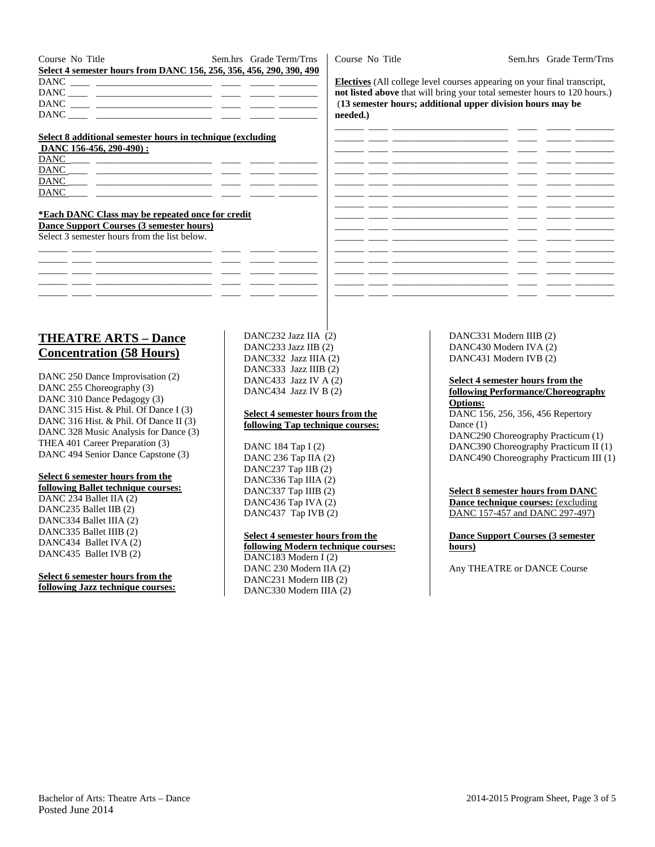Course No Title Sem.hrs Grade Term/Trns **Select 4 semester hours from DANC 156, 256, 356, 456, 290, 390, 490** DANC \_\_\_\_ \_\_\_\_\_\_\_\_\_\_\_\_\_\_\_\_\_\_\_\_\_\_\_\_ \_\_\_\_ \_\_\_\_\_ \_\_\_\_\_\_\_\_ DANC \_\_\_\_ \_\_\_\_\_\_\_\_\_\_\_\_\_\_\_\_\_\_\_\_\_\_\_\_ \_\_\_\_ \_\_\_\_\_ \_\_\_\_\_\_\_\_ DANC \_\_\_\_ \_\_\_\_\_\_\_\_\_\_\_\_\_\_\_\_\_\_\_\_\_\_\_\_ \_\_\_\_ \_\_\_\_\_ \_\_\_\_\_\_\_\_

# **Select 8 additional semester hours in technique (excluding**

| DANC 156-456, 290-490): |  |  |
|-------------------------|--|--|
| <b>DANC</b>             |  |  |
| <b>DANC</b>             |  |  |
| <b>DANC</b>             |  |  |
| <b>DANC</b>             |  |  |

#### **\*Each DANC Class may be repeated once for credit Dance Support Courses (3 semester hours)**

Select 3 semester hours from the list below.

 $DANC$   $-$ 

|           |  |  | _______ |
|-----------|--|--|---------|
|           |  |  | _______ |
|           |  |  | _______ |
| _________ |  |  |         |
| _________ |  |  |         |

# **THEATRE ARTS – Dance Concentration (58 Hours)**

DANC 250 Dance Improvisation (2) DANC 255 Choreography (3) DANC 310 Dance Pedagogy (3) DANC 315 Hist. & Phil. Of Dance I (3) DANC 316 Hist. & Phil. Of Dance II (3) DANC 328 Music Analysis for Dance (3) THEA 401 Career Preparation (3) DANC 494 Senior Dance Capstone (3)

## **Select 6 semester hours from the**

**following Ballet technique courses:** DANC 234 Ballet IIA (2) DANC235 Ballet IIB (2) DANC334 Ballet IIIA (2) DANC335 Ballet IIIB (2) DANC434 Ballet IVA (2) DANC435 Ballet IVB (2)

## **Select 6 semester hours from the following Jazz technique courses:**

DANC232 Jazz IIA (2) DANC233 Jazz IIB (2) DANC332 Jazz IIIA (2) DANC333 Jazz IIIB (2) DANC433 Jazz IV A (2) DANC434 Jazz IV B (2)

## **Select 4 semester hours from the following Tap technique courses:**

DANC 184 Tap I (2) DANC 236 Tap IIA (2) DANC237 Tap IIB (2) DANC336 Tap IIIA (2) DANC337 Tap IIIB (2) DANC436 Tap IVA (2) DANC437 Tap IVB (2)

# **Select 4 semester hours from the**

**following Modern technique courses:** DANC183 Modern I (2) DANC 230 Modern IIA (2) DANC231 Modern IIB (2) DANC330 Modern IIIA (2)

DANC331 Modern IIIB (2) DANC430 Modern IVA (2) DANC431 Modern IVB (2)

**Select 4 semester hours from the following Performance/Choreography Options:** DANC 156, 256, 356, 456 Repertory Dance  $(1)$ DANC290 Choreography Practicum (1) DANC390 Choreography Practicum II (1) DANC490 Choreography Practicum III (1)

# **Select 8 semester hours from DANC**

**Dance technique courses:** (excluding DANC 157-457 and DANC 297-497)

**Dance Support Courses (3 semester hours)**

Any THEATRE or DANCE Course

Course No Title Sem.hrs Grade Term/Trns

**Electives** (All college level courses appearing on your final transcript, **not listed above** that will bring your total semester hours to 120 hours.) (**13 semester hours; additional upper division hours may be needed.)**

|  |                          | $\overline{\phantom{0}}$      |  |
|--|--------------------------|-------------------------------|--|
|  |                          | $\overline{\phantom{0}}$      |  |
|  | Ξ.                       |                               |  |
|  | -                        |                               |  |
|  |                          |                               |  |
|  | -                        | ___                           |  |
|  | -                        | $\overline{\phantom{a}}$<br>- |  |
|  | -                        |                               |  |
|  | -                        | $\overline{\phantom{0}}$      |  |
|  |                          | -                             |  |
|  | -                        | $\overline{\phantom{0}}$      |  |
|  |                          | $\overline{\phantom{0}}$      |  |
|  | -                        |                               |  |
|  |                          |                               |  |
|  |                          |                               |  |
|  | $\overline{\phantom{0}}$ | $\sim$                        |  |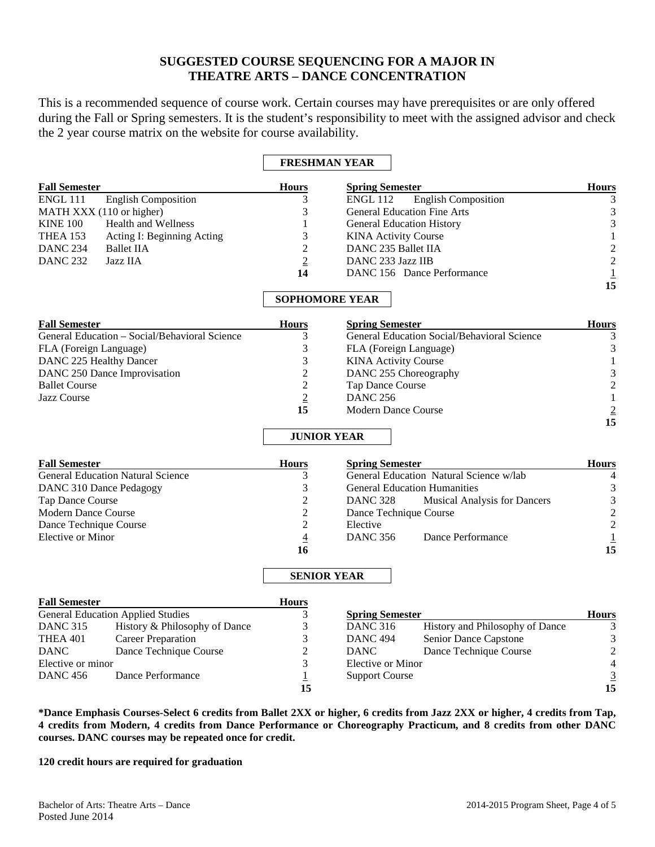# **SUGGESTED COURSE SEQUENCING FOR A MAJOR IN THEATRE ARTS – DANCE CONCENTRATION**

This is a recommended sequence of course work. Certain courses may have prerequisites or are only offered during the Fall or Spring semesters. It is the student's responsibility to meet with the assigned advisor and check the 2 year course matrix on the website for course availability.

# **FRESHMAN YEAR**

| <b>Fall Semester</b>                                             |                                               | Hours                   | <b>Spring Semester</b>                          |                                 | <b>Hours</b>                |
|------------------------------------------------------------------|-----------------------------------------------|-------------------------|-------------------------------------------------|---------------------------------|-----------------------------|
| <b>English Composition</b><br><b>ENGL 111</b>                    |                                               | 3                       | <b>English Composition</b><br><b>ENGL 112</b>   |                                 | 3                           |
| MATH XXX (110 or higher)                                         |                                               | 3                       | <b>General Education Fine Arts</b>              |                                 | $\ensuremath{\mathfrak{Z}}$ |
| Health and Wellness<br><b>KINE 100</b>                           |                                               | $\mathbf{1}$            | <b>General Education History</b>                |                                 | 3                           |
| THEA 153                                                         | Acting I: Beginning Acting                    | 3                       | <b>KINA Activity Course</b>                     |                                 | $\,1\,$                     |
| <b>DANC 234</b>                                                  | <b>Ballet IIA</b>                             | $\overline{2}$          | DANC 235 Ballet IIA                             |                                 |                             |
| <b>DANC 232</b>                                                  | Jazz IIA                                      | $\overline{2}$          | DANC 233 Jazz IIB                               |                                 | $\frac{2}{2}$               |
|                                                                  |                                               | 14                      | DANC 156 Dance Performance                      |                                 | $\mathbf 1$                 |
|                                                                  |                                               |                         |                                                 |                                 | 15                          |
|                                                                  |                                               | <b>SOPHOMORE YEAR</b>   |                                                 |                                 |                             |
| <b>Fall Semester</b>                                             |                                               | <b>Hours</b>            | <b>Spring Semester</b>                          |                                 | <b>Hours</b>                |
|                                                                  | General Education - Social/Behavioral Science | 3                       | General Education Social/Behavioral Science     |                                 | 3                           |
| FLA (Foreign Language)                                           |                                               | 3                       | FLA (Foreign Language)                          |                                 | $\ensuremath{\mathfrak{Z}}$ |
| DANC 225 Healthy Dancer                                          |                                               | 3                       | <b>KINA Activity Course</b>                     |                                 | $\mathbf{1}$                |
|                                                                  | DANC 250 Dance Improvisation                  | $\overline{c}$          | DANC 255 Choreography                           |                                 | 3                           |
| <b>Ballet Course</b>                                             |                                               | $\overline{2}$          | <b>Tap Dance Course</b>                         |                                 | $\overline{c}$              |
| <b>Jazz Course</b>                                               |                                               | $\overline{2}$          | <b>DANC 256</b>                                 |                                 | $\overline{1}$              |
|                                                                  |                                               | 15                      | <b>Modern Dance Course</b>                      |                                 |                             |
|                                                                  |                                               |                         |                                                 |                                 | $\frac{2}{15}$              |
|                                                                  |                                               | <b>JUNIOR YEAR</b>      |                                                 |                                 |                             |
| <b>Fall Semester</b>                                             |                                               | <b>Hours</b>            | <b>Spring Semester</b>                          |                                 | <b>Hours</b>                |
|                                                                  | <b>General Education Natural Science</b>      | 3                       | General Education Natural Science w/lab         |                                 | 4                           |
| DANC 310 Dance Pedagogy                                          |                                               | 3                       | <b>General Education Humanities</b>             |                                 | $\mathfrak{Z}$              |
| Tap Dance Course                                                 |                                               | $\overline{c}$          | <b>DANC 328</b><br>Musical Analysis for Dancers |                                 | $\mathfrak{Z}$              |
| Modern Dance Course                                              |                                               | $\overline{c}$          | Dance Technique Course                          |                                 |                             |
| Dance Technique Course                                           |                                               | $\overline{2}$          | Elective                                        |                                 | $\frac{2}{2}$               |
| <b>Elective or Minor</b>                                         |                                               | $\overline{4}$          | <b>DANC 356</b>                                 | Dance Performance               |                             |
|                                                                  |                                               | 16                      |                                                 |                                 | $\frac{1}{15}$              |
|                                                                  |                                               | <b>SENIOR YEAR</b>      |                                                 |                                 |                             |
|                                                                  |                                               |                         |                                                 |                                 |                             |
| <b>Fall Semester</b><br><b>General Education Applied Studies</b> |                                               | <b>Hours</b>            |                                                 |                                 |                             |
|                                                                  |                                               | 3                       | <b>Spring Semester</b>                          |                                 | <b>Hours</b>                |
| <b>DANC 315</b>                                                  | History & Philosophy of Dance                 | 3                       | <b>DANC 316</b>                                 | History and Philosophy of Dance | 3                           |
| <b>THEA 401</b>                                                  | <b>Career Preparation</b>                     | 3                       | <b>DANC 494</b>                                 | Senior Dance Capstone           | $\sqrt{3}$                  |
| <b>DANC</b>                                                      | Dance Technique Course                        | $\overline{\mathbf{c}}$ | <b>DANC</b>                                     | Dance Technique Course          | $\frac{2}{4}$               |
| Elective or minor                                                |                                               | 3                       | <b>Elective or Minor</b>                        |                                 |                             |
| <b>DANC</b> 456                                                  | Dance Performance                             | 1<br>15                 | <b>Support Course</b>                           |                                 | $\frac{3}{15}$              |

**\*Dance Emphasis Courses-Select 6 credits from Ballet 2XX or higher, 6 credits from Jazz 2XX or higher, 4 credits from Tap, 4 credits from Modern, 4 credits from Dance Performance or Choreography Practicum, and 8 credits from other DANC courses. DANC courses may be repeated once for credit.**

**120 credit hours are required for graduation**